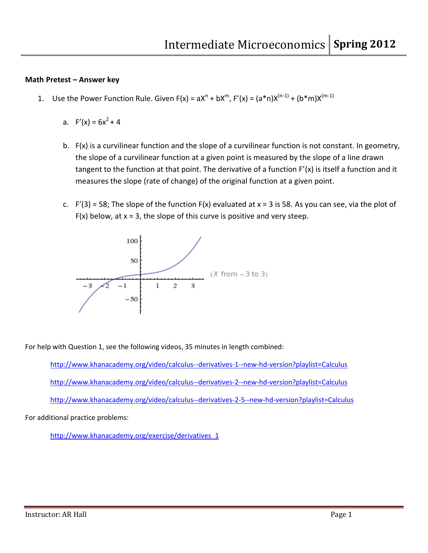## **Math Pretest – Answer key**

- 1. Use the Power Function Rule. Given  $F(x) = aX^n + bX^m$ ,  $F'(x) = (a*n)X^{(n-1)} + (b*m)X^{(m-1)}$ 
	- a.  $F'(x) = 6x^2 + 4$
	- b. F(x) is a curvilinear function and the slope of a curvilinear function is not constant. In geometry, the slope of a curvilinear function at a given point is measured by the slope of a line drawn tangent to the function at that point. The derivative of a function F'(x) is itself a function and it measures the slope (rate of change) of the original function at a given point.
	- c.  $F'(3) = 58$ ; The slope of the function  $F(x)$  evaluated at  $x = 3$  is 58. As you can see, via the plot of  $F(x)$  below, at  $x = 3$ , the slope of this curve is positive and very steep.



For help with Question 1, see the following videos, 35 minutes in length combined:

<http://www.khanacademy.org/video/calculus--derivatives-1--new-hd-version?playlist=Calculus> <http://www.khanacademy.org/video/calculus--derivatives-2--new-hd-version?playlist=Calculus> <http://www.khanacademy.org/video/calculus--derivatives-2-5--new-hd-version?playlist=Calculus>

For additional practice problems:

[http://www.khanacademy.org/exercise/derivatives\\_1](http://www.khanacademy.org/exercise/derivatives_1)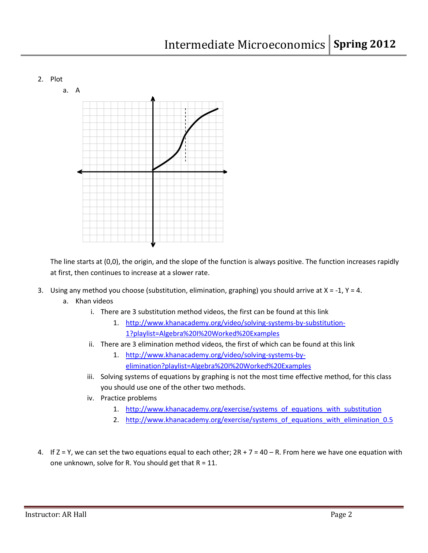## 2. Plot



The line starts at (0,0), the origin, and the slope of the function is always positive. The function increases rapidly at first, then continues to increase at a slower rate.

- 3. Using any method you choose (substitution, elimination, graphing) you should arrive at  $X = -1$ ,  $Y = 4$ .
	- a. Khan videos
		- i. There are 3 substitution method videos, the first can be found at this link
			- 1. [http://www.khanacademy.org/video/solving-systems-by-substitution-](http://www.khanacademy.org/video/solving-systems-by-substitution-1?playlist=Algebra%20I%20Worked%20Examples)[1?playlist=Algebra%20I%20Worked%20Examples](http://www.khanacademy.org/video/solving-systems-by-substitution-1?playlist=Algebra%20I%20Worked%20Examples)
		- ii. There are 3 elimination method videos, the first of which can be found at this link
			- 1. [http://www.khanacademy.org/video/solving-systems-by](http://www.khanacademy.org/video/solving-systems-by-elimination?playlist=Algebra%20I%20Worked%20Examples)[elimination?playlist=Algebra%20I%20Worked%20Examples](http://www.khanacademy.org/video/solving-systems-by-elimination?playlist=Algebra%20I%20Worked%20Examples)
		- iii. Solving systems of equations by graphing is not the most time effective method, for this class you should use one of the other two methods.
		- iv. Practice problems
			- 1. [http://www.khanacademy.org/exercise/systems\\_of\\_equations\\_with\\_substitution](http://www.khanacademy.org/exercise/systems_of_equations_with_substitution)
			- 2. http://www.khanacademy.org/exercise/systems of equations with elimination 0.5
- 4. If  $Z = Y$ , we can set the two equations equal to each other;  $2R + 7 = 40 R$ . From here we have one equation with one unknown, solve for R. You should get that  $R = 11$ .